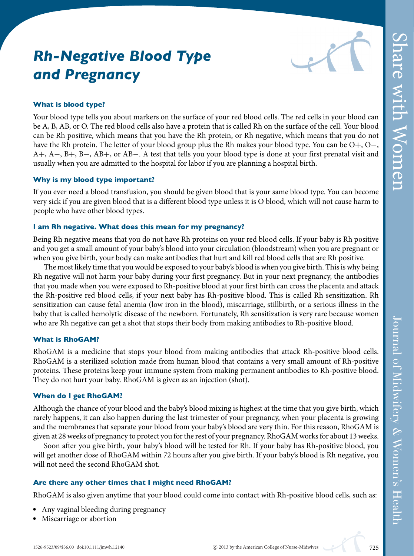# *Rh-Negative Blood Type and Pregnancy*



#### **What is blood type?**

Your blood type tells you about markers on the surface of your red blood cells. The red cells in your blood can be A, B, AB, or O. The red blood cells also have a protein that is called Rh on the surface of the cell. Your blood can be Rh positive, which means that you have the Rh protein, or Rh negative, which means that you do not have the Rh protein. The letter of your blood group plus the Rh makes your blood type. You can be O+, O−, A+, A−, B+, B−, AB+, or AB−. A test that tells you your blood type is done at your first prenatal visit and usually when you are admitted to the hospital for labor if you are planning a hospital birth.

#### **Why is my blood type important?**

If you ever need a blood transfusion, you should be given blood that is your same blood type. You can become very sick if you are given blood that is a different blood type unless it is O blood, which will not cause harm to people who have other blood types.

#### **I am Rh negative. What does this mean for my pregnancy?**

Being Rh negative means that you do not have Rh proteins on your red blood cells. If your baby is Rh positive and you get a small amount of your baby's blood into your circulation (bloodstream) when you are pregnant or when you give birth, your body can make antibodies that hurt and kill red blood cells that are Rh positive.

The most likely time that youwould be exposed to your baby's blood iswhen you give birth. Thisiswhy being Rh negative will not harm your baby during your first pregnancy. But in your next pregnancy, the antibodies that you made when you were exposed to Rh-positive blood at your first birth can cross the placenta and attack the Rh-positive red blood cells, if your next baby has Rh-positive blood. This is called Rh sensitization. Rh sensitization can cause fetal anemia (low iron in the blood), miscarriage, stillbirth, or a serious illness in the baby that is called hemolytic disease of the newborn. Fortunately, Rh sensitization is very rare because women who are Rh negative can get a shot that stops their body from making antibodies to Rh-positive blood.

#### **What is RhoGAM?**

RhoGAM is a medicine that stops your blood from making antibodies that attack Rh-positive blood cells. RhoGAM is a sterilized solution made from human blood that contains a very small amount of Rh-positive proteins. These proteins keep your immune system from making permanent antibodies to Rh-positive blood. They do not hurt your baby. RhoGAM is given as an injection (shot).

#### **When do I get RhoGAM?**

Although the chance of your blood and the baby's blood mixing is highest at the time that you give birth, which rarely happens, it can also happen during the last trimester of your pregnancy, when your placenta is growing and the membranes that separate your blood from your baby's blood are very thin. For this reason, RhoGAM is given at 28weeks of pregnancy to protect you for the rest of your pregnancy. RhoGAM works for about 13weeks.

Soon after you give birth, your baby's blood will be tested for Rh. If your baby has Rh-positive blood, you will get another dose of RhoGAM within 72 hours after you give birth. If your baby's blood is Rh negative, you will not need the second RhoGAM shot.

#### **Are there any other times that I might need RhoGAM?**

RhoGAM is also given anytime that your blood could come into contact with Rh-positive blood cells, such as:

- Any vaginal bleeding during pregnancy
- -Miscarriage or abortion